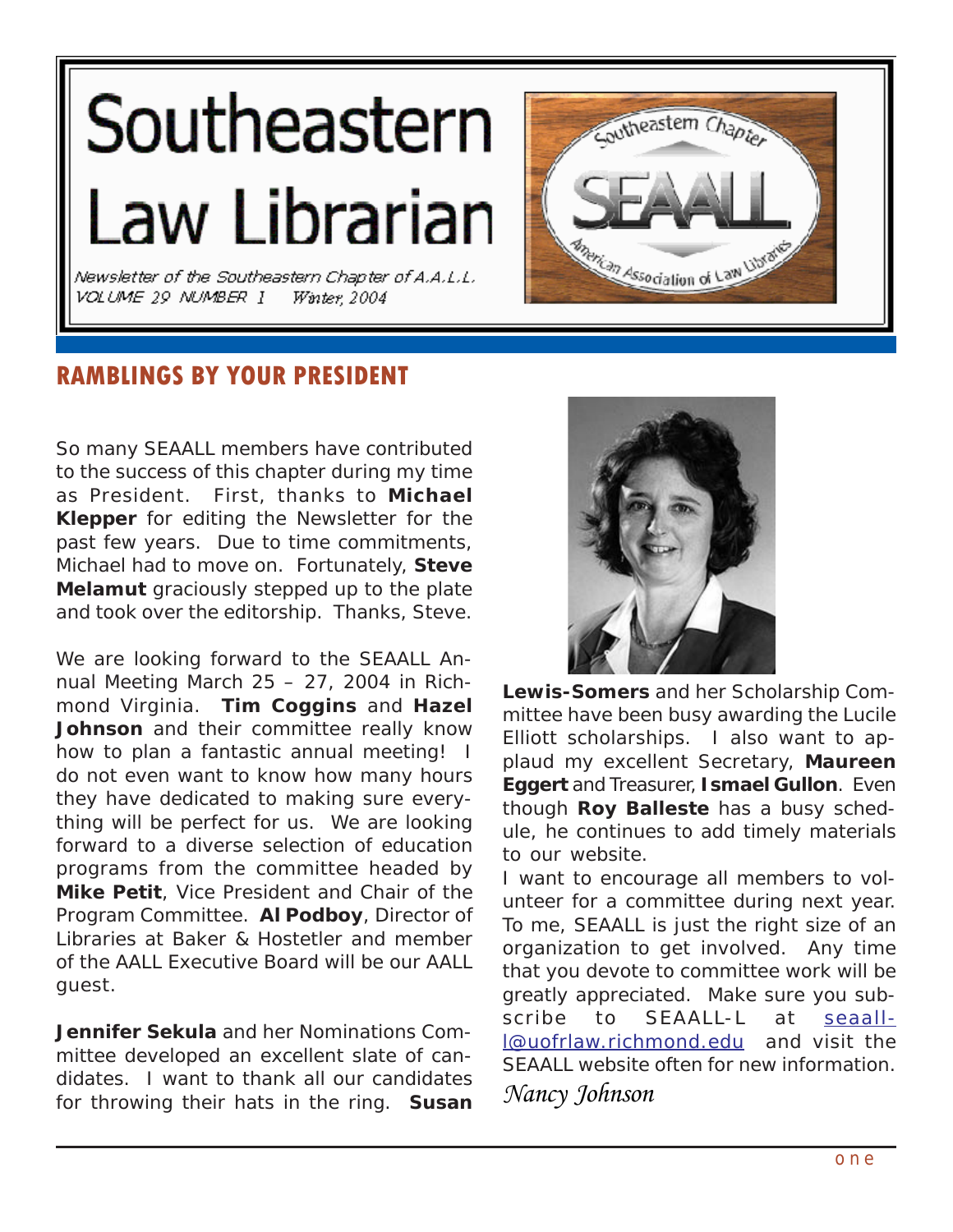# Southeastern Law Librarian

Newsletter of the Southeastern Chapter of A.A.L.L. VOLUME 29 NUMBER I Winter 2004



# **RAMBLINGS BY YOUR PRESIDENT**

So many SEAALL members have contributed to the success of this chapter during my time as President. First, thanks to **Michael Klepper** for editing the Newsletter for the past few years. Due to time commitments, Michael had to move on. Fortunately, **Steve Melamut** graciously stepped up to the plate and took over the editorship. Thanks, Steve.

We are looking forward to the SEAALL Annual Meeting March 25 – 27, 2004 in Richmond Virginia. **Tim Coggins** and **Hazel Johnson** and their committee really know how to plan a fantastic annual meeting! I do not even want to know how many hours they have dedicated to making sure everything will be perfect for us. We are looking forward to a diverse selection of education programs from the committee headed by **Mike Petit**, Vice President and Chair of the Program Committee. **Al Podboy**, Director of Libraries at Baker & Hostetler and member of the AALL Executive Board will be our AALL guest.

**Jennifer Sekula** and her Nominations Committee developed an excellent slate of candidates. I want to thank all our candidates for throwing their hats in the ring. **Susan**



**Lewis-Somers** and her Scholarship Committee have been busy awarding the Lucile Elliott scholarships. I also want to applaud my excellent Secretary, **Maureen Eggert** and Treasurer, **Ismael Gullon**. Even though **Roy Balleste** has a busy schedule, he continues to add timely materials to our website.

I want to encourage all members to volunteer for a committee during next year. To me, SEAALL is just the right size of an organization to get involved. Any time that you devote to committee work will be greatly appreciated. Make sure you subscribe to SEAALL-L at [seaall](mailto:seaall-l@uofrlaw.richmond.edu)[l@uofrlaw.richmond.edu](mailto:seaall-l@uofrlaw.richmond.edu) and visit the SEAALL website often for new information. *Nancy Johnson*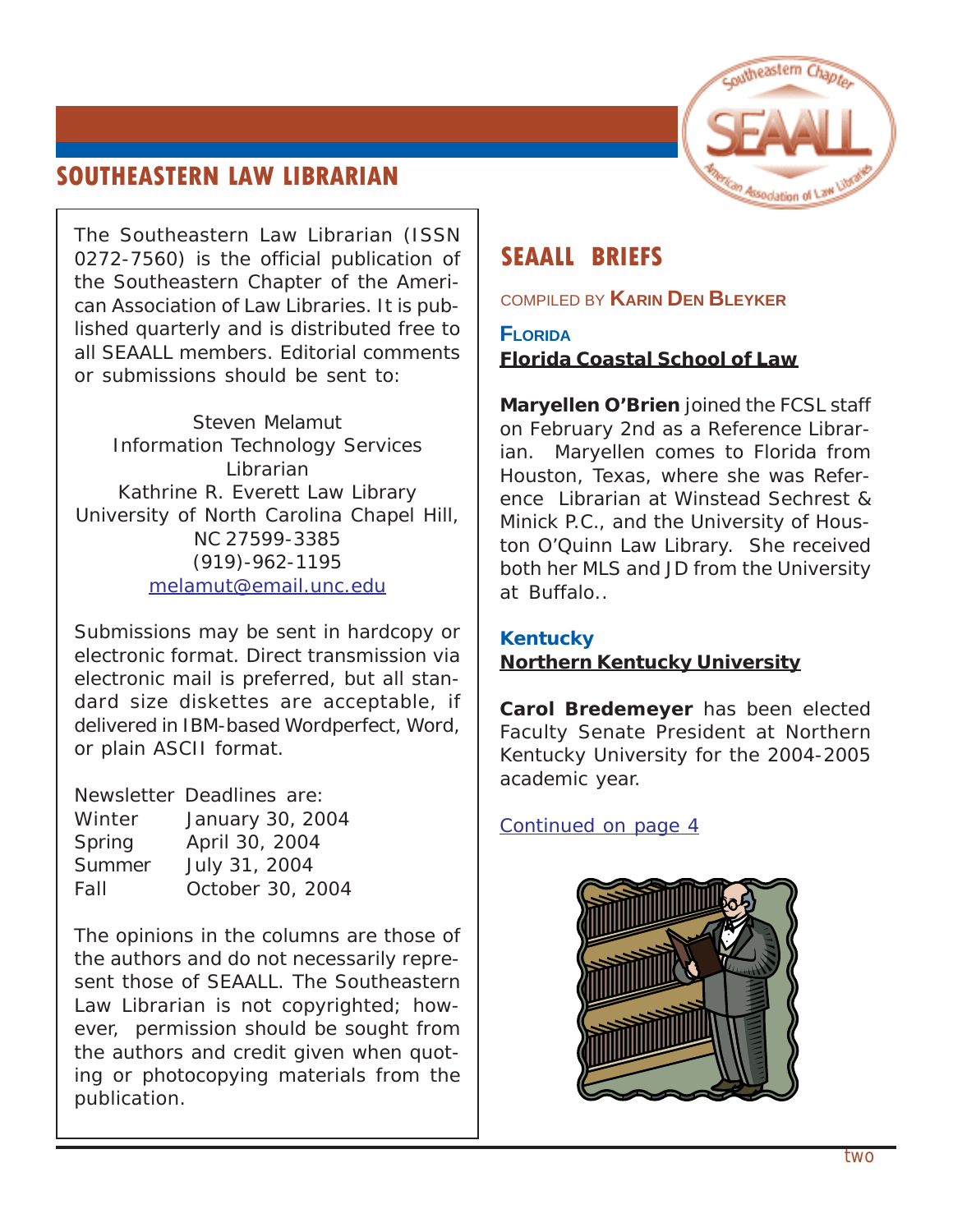# <span id="page-1-0"></span>**SOUTHEASTERN LAW LIBRARIAN**



The Southeastern Law Librarian (ISSN 0272-7560) is the official publication of the Southeastern Chapter of the American Association of Law Libraries. It is published quarterly and is distributed free to all SEAALL members. Editorial comments or submissions should be sent to:

Steven Melamut Information Technology Services Librarian Kathrine R. Everett Law Library University of North Carolina Chapel Hill, NC 27599-3385 (919)-962-1195 [melamut@email.unc.edu](mailto:melamut@email.unc.edu)

Submissions may be sent in hardcopy or electronic format. Direct transmission via electronic mail is preferred, but all standard size diskettes are acceptable, if delivered in IBM-based Wordperfect, Word, or plain ASCII format.

Newsletter Deadlines are: Winter January 30, 2004 Spring April 30, 2004 Summer July 31, 2004 Fall October 30, 2004

The opinions in the columns are those of the authors and do not necessarily represent those of SEAALL. The Southeastern Law Librarian is not copyrighted; however, permission should be sought from the authors and credit given when quoting or photocopying materials from the publication.

# **SEAALL BRIEFS**

COMPILED BY **KARIN DEN BLEYKER**

**FLORIDA Florida Coastal School of Law**

**Maryellen O'Brien** joined the FCSL staff on February 2nd as a Reference Librarian. Maryellen comes to Florida from Houston, Texas, where she was Reference Librarian at Winstead Sechrest & Minick P.C., and the University of Houston O'Quinn Law Library. She received both her MLS and JD from the University at Buffalo..

### **Kentucky Northern Kentucky University**

**Carol Bredemeyer** has been elected Faculty Senate President at Northern Kentucky University for the 2004-2005 academic year.

*[Continued on page 4](#page-3-0)*

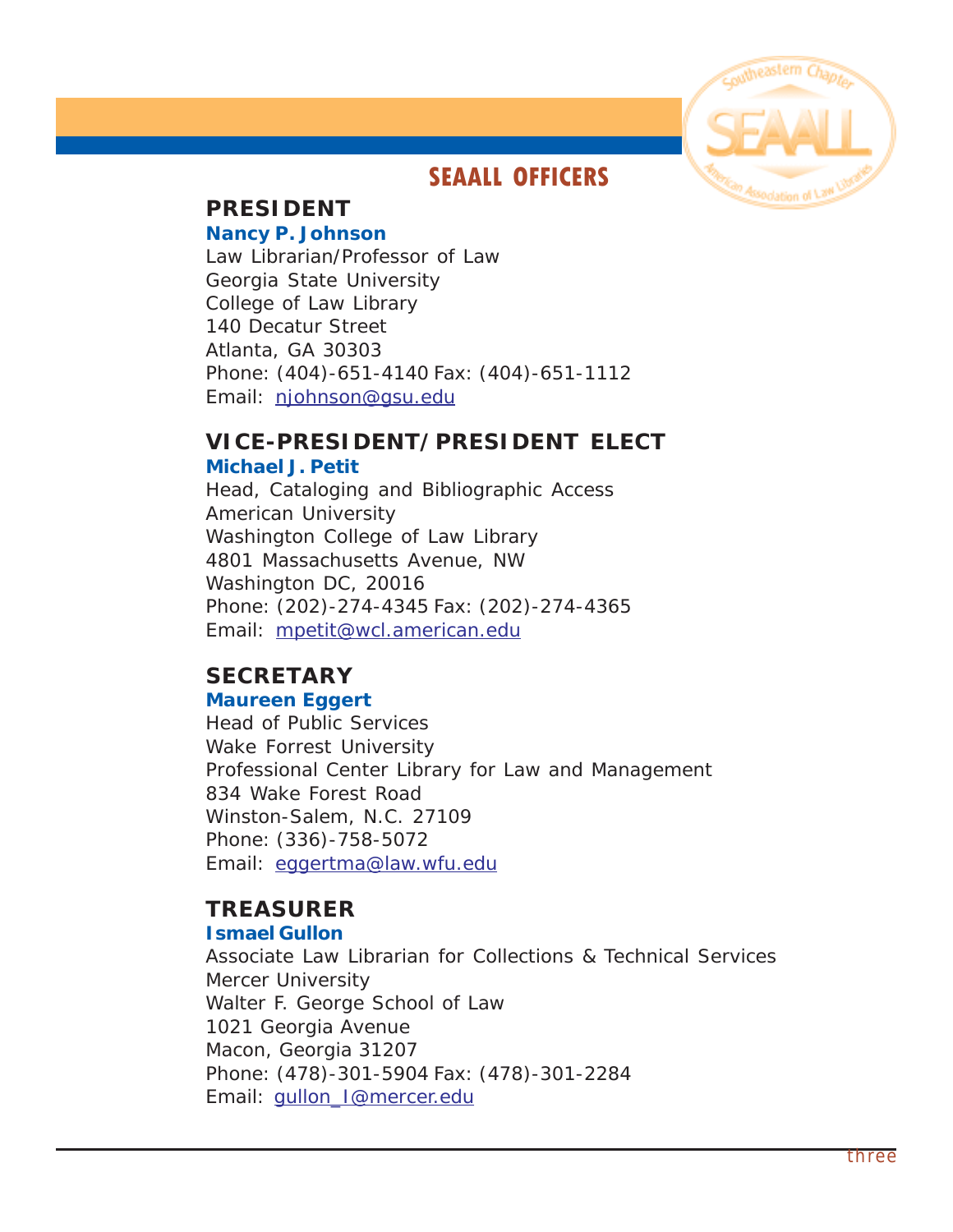

# **SEAALL OFFICERS**

# **PRESIDENT**

#### **Nancy P. Johnson**

Law Librarian/Professor of Law Georgia State University College of Law Library 140 Decatur Street Atlanta, GA 30303 Phone: (404)-651-4140 Fax: (404)-651-1112 Email: [njohnson@gsu.edu](mailto:njohnson@gsu.edu)

# **VICE-PRESIDENT/PRESIDENT ELECT**

#### **Michael J. Petit**

Head, Cataloging and Bibliographic Access American University Washington College of Law Library 4801 Massachusetts Avenue, NW Washington DC, 20016 Phone: (202)-274-4345 Fax: (202)-274-4365 Email: [mpetit@wcl.american.edu](mailto:mpetit@wcl.american.edu)

# **SECRETARY**

#### **Maureen Eggert**

Head of Public Services Wake Forrest University Professional Center Library for Law and Management 834 Wake Forest Road Winston-Salem, N.C. 27109 Phone: (336)-758-5072 Email: [eggertma@law.wfu.edu](mailto:eggertma@law.wfu.edu)

# **TREASURER**

#### **Ismael Gullon**

Associate Law Librarian for Collections & Technical Services Mercer University Walter F. George School of Law 1021 Georgia Avenue Macon, Georgia 31207 Phone: (478)-301-5904 Fax: (478)-301-2284 Email: [gullon\\_I@mercer.edu](mailto:gullon_I@mercer.edu)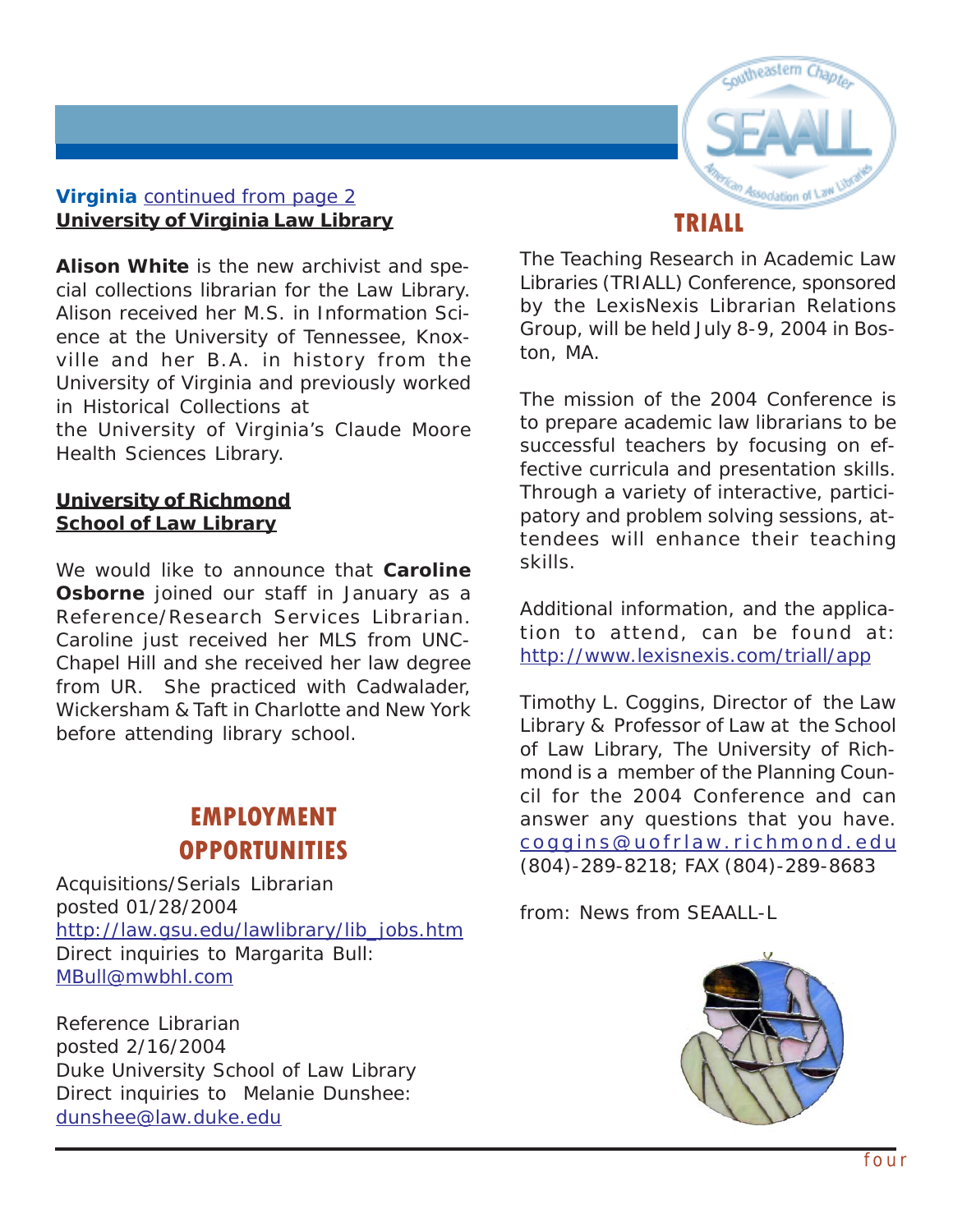

### <span id="page-3-0"></span>**Virginia** *[continued from page 2](#page-1-0)* **University of Virginia Law Library**

**Alison White** is the new archivist and special collections librarian for the Law Library. Alison received her M.S. in Information Science at the University of Tennessee, Knoxville and her B.A. in history from the University of Virginia and previously worked in Historical Collections at

the University of Virginia's Claude Moore Health Sciences Library.

#### **University of Richmond School of Law Library**

We would like to announce that **Caroline Osborne** joined our staff in January as a Reference/Research Services Librarian. Caroline just received her MLS from UNC-Chapel Hill and she received her law degree from UR. She practiced with Cadwalader, Wickersham & Taft in Charlotte and New York before attending library school.

# **EMPLOYMENT OPPORTUNITIES**

Acquisitions/Serials Librarian posted 01/28/2004 [http://law.gsu.edu/lawlibrary/lib\\_jobs.htm](http://law.gsu.edu/lawlibrary/lib_jobs.htm) Direct inquiries to Margarita Bull: [MBull@mwbhl.com](mailto:MBull@mwbhl.com)

Reference Librarian posted 2/16/2004 Duke University School of Law Library Direct inquiries to Melanie Dunshee: [dunshee@law.duke.edu](mailto:dunshee@law.duke.edu)

The Teaching Research in Academic Law Libraries (TRIALL) Conference, sponsored by the LexisNexis Librarian Relations Group, will be held July 8-9, 2004 in Bos-

ton, MA.

The mission of the 2004 Conference is to prepare academic law librarians to be successful teachers by focusing on effective curricula and presentation skills. Through a variety of interactive, participatory and problem solving sessions, attendees will enhance their teaching skills.

Additional information, and the application to attend, can be found at: <http://www.lexisnexis.com/triall/app>

Timothy L. Coggins, Director of the Law Library & Professor of Law at the School of Law Library, The University of Richmond is a member of the Planning Council for the 2004 Conference and can answer any questions that you have. coggins@uofrla [w.richmond.edu](mailto:coggins@uofrlaw.richmond.edu) (804)-289-8218; FAX (804)-289-8683

*from: News from SEAALL-L*

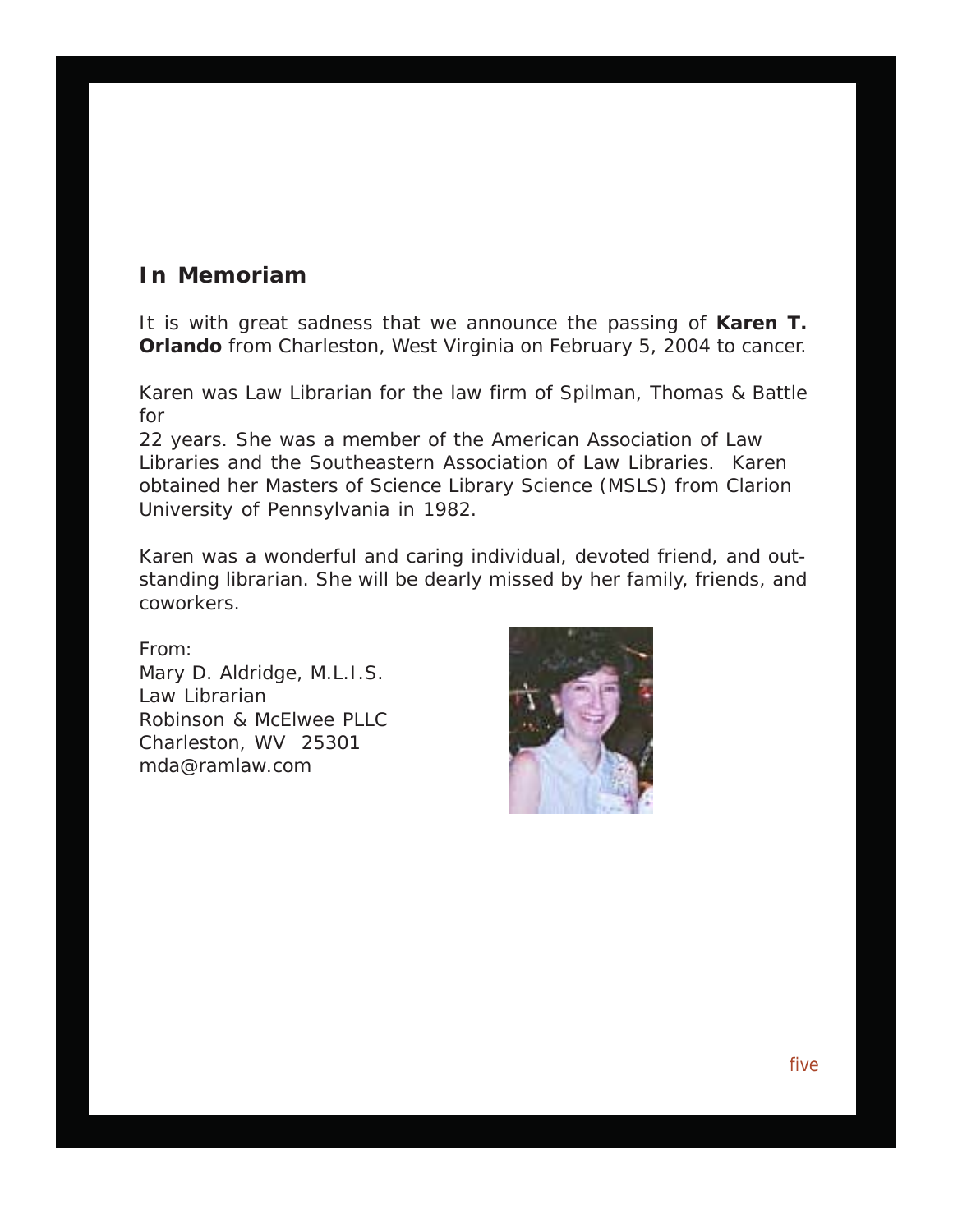## **In Memoriam**

It is with great sadness that we announce the passing of **Karen T. Orlando** from Charleston, West Virginia on February 5, 2004 to cancer.

Karen was Law Librarian for the law firm of Spilman, Thomas & Battle for

22 years. She was a member of the American Association of Law Libraries and the Southeastern Association of Law Libraries. Karen obtained her Masters of Science Library Science (MSLS) from Clarion University of Pennsylvania in 1982.

Karen was a wonderful and caring individual, devoted friend, and outstanding librarian. She will be dearly missed by her family, friends, and coworkers.

From: Mary D. Aldridge, M.L.I.S. Law Librarian Robinson & McElwee PLLC Charleston, WV 25301 mda@ramlaw.com

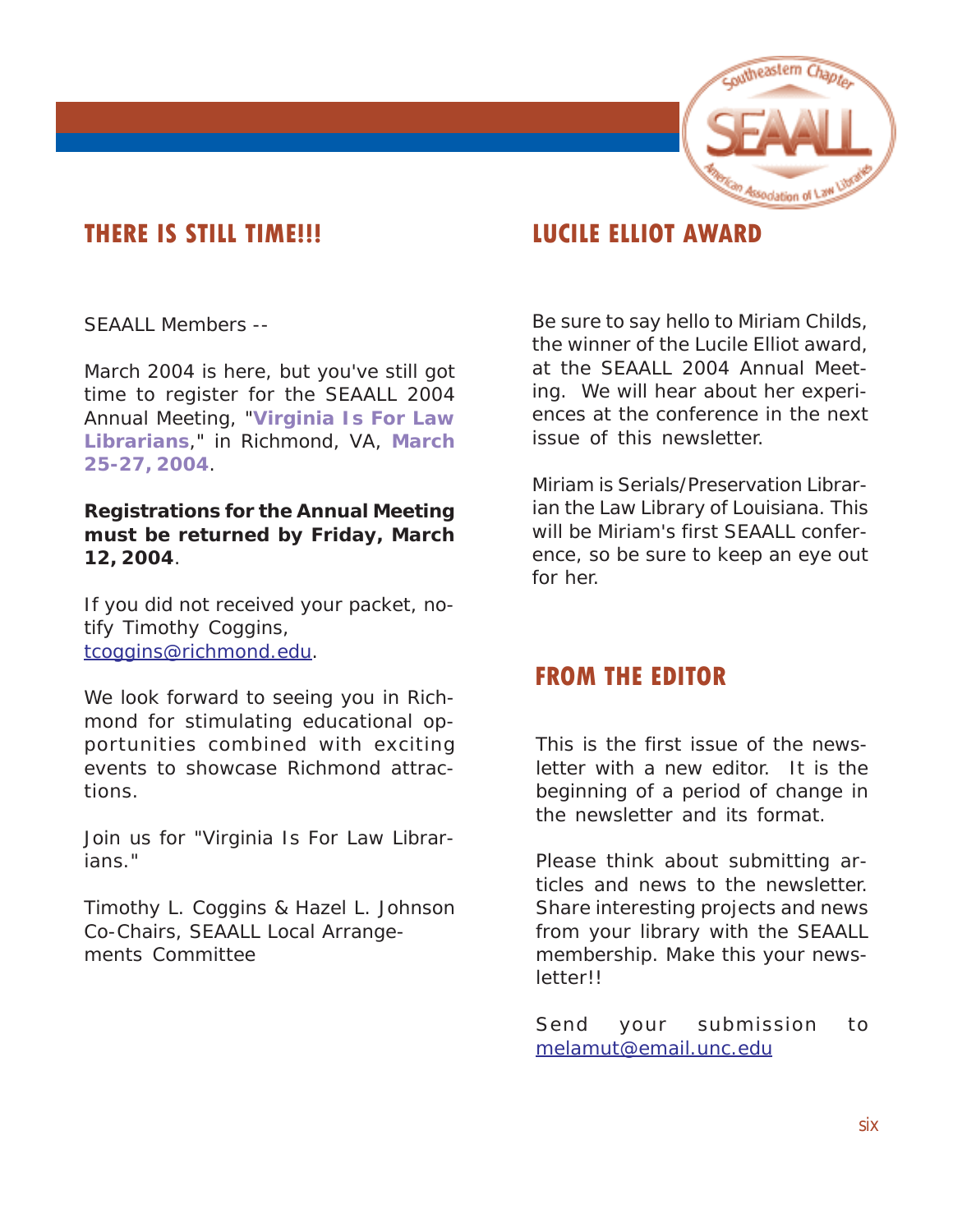

# **THERE IS STILL TIME!!! LUCILE ELLIOT AWARD**

SEAALL Members --

March 2004 is here, but you've still got time to register for the SEAALL 2004 Annual Meeting, "**Virginia Is For Law Librarians**," in Richmond, VA, **March 25-27, 2004**.

#### **Registrations for the Annual Meeting must be returned by Friday, March 12, 2004**.

If you did not received your packet, notify Timothy Coggins, [tcoggins@richmond.edu.](mailto:tcoggins@richmond.edu)

We look forward to seeing you in Richmond for stimulating educational opportunities combined with exciting events to showcase Richmond attractions.

Join us for "Virginia Is For Law Librarians."

Timothy L. Coggins & Hazel L. Johnson Co-Chairs, SEAALL Local Arrangements Committee

Be sure to say hello to Miriam Childs, the winner of the Lucile Elliot award, at the SEAALL 2004 Annual Meeting. We will hear about her experiences at the conference in the next issue of this newsletter.

Miriam is Serials/Preservation Librarian the Law Library of Louisiana. This will be Miriam's first SEAALL conference, so be sure to keep an eye out for her.

# **FROM THE EDITOR**

This is the first issue of the newsletter with a new editor. It is the beginning of a period of change in the newsletter and its format.

Please think about submitting articles and news to the newsletter. Share interesting projects and news from your library with the SEAALL membership. Make this your newsletter!!

Send your submission to [melamut@email.unc.edu](mailto:melamut@email.unc.edu)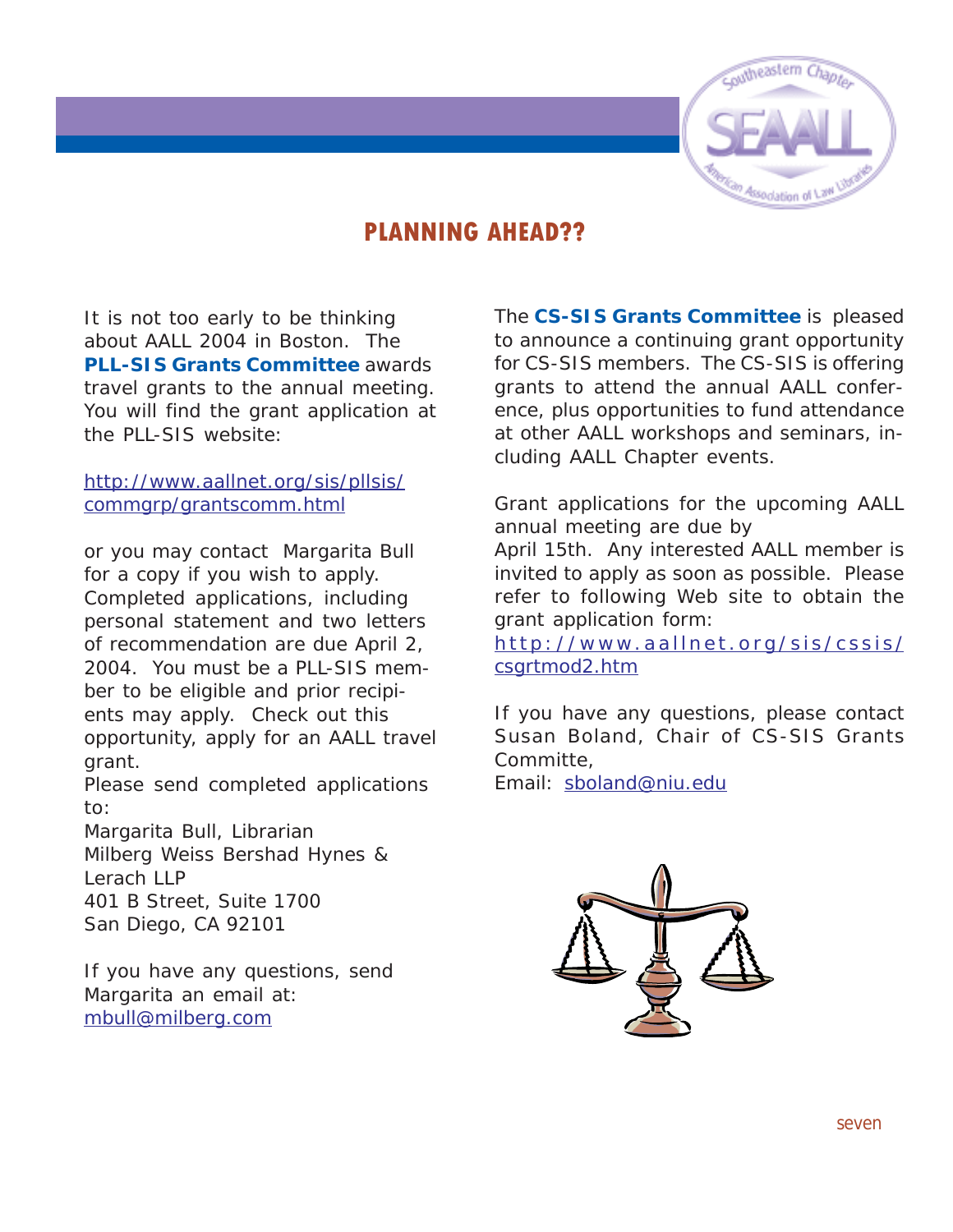

# **PLANNING AHEAD??**

It is not too early to be thinking about AALL 2004 in Boston. The **PLL-SIS Grants Committee** awards travel grants to the annual meeting. You will find the grant application at the PLL-SIS website:

#### [http://www.aallnet.org/sis/pllsis/](http://www.aallnet.org/sis/pllsis/commgrp/grantscomm.html) [commgrp/grantscomm.html](http://www.aallnet.org/sis/pllsis/commgrp/grantscomm.html)

or you may contact Margarita Bull for a copy if you wish to apply. Completed applications, including personal statement and two letters of recommendation are due April 2, 2004. You must be a PLL-SIS member to be eligible and prior recipients may apply. Check out this opportunity, apply for an AALL travel grant.

Please send completed applications to:

Margarita Bull, Librarian Milberg Weiss Bershad Hynes & Lerach LLP 401 B Street, Suite 1700 San Diego, CA 92101

If you have any questions, send Margarita an email at: [mbull@milberg.com](mailto:mbull@milberg.com)

The **CS-SIS Grants Committee** is pleased to announce a continuing grant opportunity for CS-SIS members. The CS-SIS is offering grants to attend the annual AALL conference, plus opportunities to fund attendance at other AALL workshops and seminars, including AALL Chapter events.

Grant applications for the upcoming AALL annual meeting are due by

April 15th. Any interested AALL member is invited to apply as soon as possible. Please refer to following Web site to obtain the grant application form:

[http://www.aallnet.org/sis/cssis/](http://www.aallnet.org/sis/cssis/csgrtmod2.htm) [csgrtmod2.htm](http://www.aallnet.org/sis/cssis/csgrtmod2.htm)

If you have any questions, please contact Susan Boland, Chair of CS-SIS Grants Committe,

Email: [sboland@niu.edu](mailto:sboland@niu.edu)